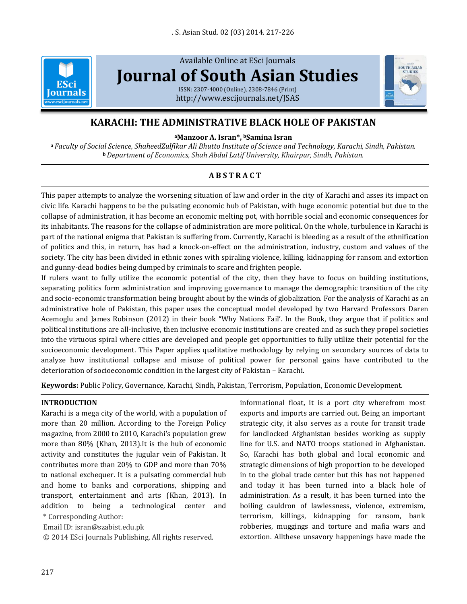

Available Online at ESci Journals **[Journal of South Asian Studies](http://www.escijournals.net/JSAS)** ISSN: 2307-4000 (Online), 2308-7846 (Print)

<http://www.escijournals.net/JSAS>



**<sup>a</sup>Manzoor A. Isran\*, <sup>b</sup>Samina Isran**

**<sup>a</sup>** *Faculty of Social Science, ShaheedZulfikar Ali Bhutto Institute of Science and Technology, Karachi, Sindh, Pakistan.* **<sup>b</sup>***Department of Economics, Shah Abdul Latif University, Khairpur, Sindh, Pakistan.*

# **A B S T R A C T**

This paper attempts to analyze the worsening situation of law and order in the city of Karachi and asses its impact on civic life. Karachi happens to be the pulsating economic hub of Pakistan, with huge economic potential but due to the collapse of administration, it has become an economic melting pot, with horrible social and economic consequences for its inhabitants. The reasons for the collapse of administration are more political. On the whole, turbulence in Karachi is part of the national enigma that Pakistan is suffering from. Currently, Karachi is bleeding as a result of the ethnification of politics and this, in return, has had a knock-on-effect on the administration, industry, custom and values of the society. The city has been divided in ethnic zones with spiraling violence, killing, kidnapping for ransom and extortion and gunny-dead bodies being dumped by criminals to scare and frighten people.

If rulers want to fully utilize the economic potential of the city, then they have to focus on building institutions, separating politics form administration and improving governance to manage the demographic transition of the city and socio-economic transformation being brought about by the winds of globalization. For the analysis of Karachi as an administrative hole of Pakistan, this paper uses the conceptual model developed by two Harvard Professors Daren Acemoglu and James Robinson (2012) in their book "Why Nations Fail'. In the Book, they argue that if politics and political institutions are all-inclusive, then inclusive economic institutions are created and as such they propel societies into the virtuous spiral where cities are developed and people get opportunities to fully utilize their potential for the socioeconomic development. This Paper applies qualitative methodology by relying on secondary sources of data to analyze how institutional collapse and misuse of political power for personal gains have contributed to the deterioration of socioeconomic condition in the largest city of Pakistan – Karachi.

**Keywords:** Public Policy, Governance, Karachi, Sindh, Pakistan, Terrorism, Population, Economic Development.

### **INTRODUCTION**

Karachi is a mega city of the world, with a population of more than 20 million. According to the Foreign Policy magazine, from 2000 to 2010, Karachi's population grew more than 80% (Khan, 2013).It is the hub of economic activity and constitutes the jugular vein of Pakistan. It contributes more than 20% to GDP and more than 70% to national exchequer. It is a pulsating commercial hub and home to banks and corporations, shipping and transport, entertainment and arts (Khan, 2013). In addition to being a technological center and

\* Corresponding Author:

Email ID: isran@szabist.edu.pk

© 2014 ESci Journals Publishing. All rights reserved.

informational float, it is a port city wherefrom most exports and imports are carried out. Being an important strategic city, it also serves as a route for transit trade for landlocked Afghanistan besides working as supply line for U.S. and NATO troops stationed in Afghanistan. So, Karachi has both global and local economic and strategic dimensions of high proportion to be developed in to the global trade center but this has not happened and today it has been turned into a black hole of administration. As a result, it has been turned into the boiling cauldron of lawlessness, violence, extremism, terrorism, killings, kidnapping for ransom, bank robberies, muggings and torture and mafia wars and extortion. Allthese unsavory happenings have made the

SOUTH ASIAN **STUDIE**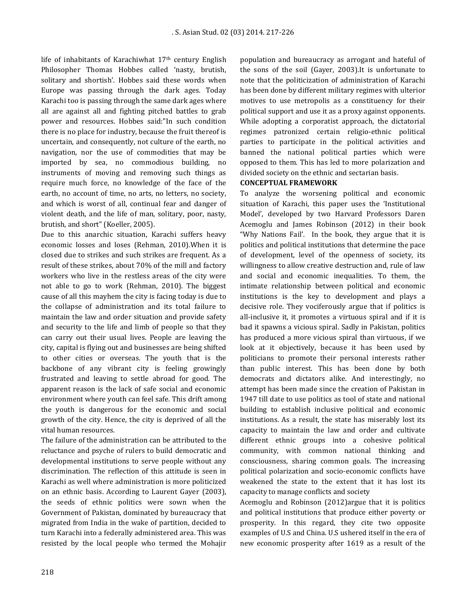life of inhabitants of Karachiwhat 17th century English Philosopher Thomas Hobbes called 'nasty, brutish, solitary and shortish'. Hobbes said these words when Europe was passing through the dark ages. Today Karachi too is passing through the same dark ages where all are against all and fighting pitched battles to grab power and resources. Hobbes said:"In such condition there is no place for industry, because the fruit thereof is uncertain, and consequently, not culture of the earth, no navigation, nor the use of commodities that may be imported by sea, no commodious building, no instruments of moving and removing such things as require much force, no knowledge of the face of the earth, no account of time, no arts, no letters, no society, and which is worst of all, continual fear and danger of violent death, and the life of man, solitary, poor, nasty, brutish, and short" (Koeller, 2005).

Due to this anarchic situation, Karachi suffers heavy economic losses and loses (Rehman, 2010).When it is closed due to strikes and such strikes are frequent. As a result of these strikes, about 70% of the mill and factory workers who live in the restless areas of the city were not able to go to work (Rehman, 2010). The biggest cause of all this mayhem the city is facing today is due to the collapse of administration and its total failure to maintain the law and order situation and provide safety and security to the life and limb of people so that they can carry out their usual lives. People are leaving the city, capital is flying out and businesses are being shifted to other cities or overseas. The youth that is the backbone of any vibrant city is feeling growingly frustrated and leaving to settle abroad for good. The apparent reason is the lack of safe social and economic environment where youth can feel safe. This drift among the youth is dangerous for the economic and social growth of the city. Hence, the city is deprived of all the vital human resources.

The failure of the administration can be attributed to the reluctance and psyche of rulers to build democratic and developmental institutions to serve people without any discrimination. The reflection of this attitude is seen in Karachi as well where administration is more politicized on an ethnic basis. According to Laurent Gayer (2003), the seeds of ethnic politics were sown when the Government of Pakistan, dominated by bureaucracy that migrated from India in the wake of partition, decided to turn Karachi into a federally administered area. This was resisted by the local people who termed the Mohajir population and bureaucracy as arrogant and hateful of the sons of the soil (Gayer, 2003).It is unfortunate to note that the politicization of administration of Karachi has been done by different military regimes with ulterior motives to use metropolis as a constituency for their political support and use it as a proxy against opponents. While adopting a corporatist approach, the dictatorial regimes patronized certain religio-ethnic political parties to participate in the political activities and banned the national political parties which were opposed to them. This has led to more polarization and divided society on the ethnic and sectarian basis.

### **CONCEPTUAL FRAMEWORK**

To analyze the worsening political and economic situation of Karachi, this paper uses the 'Institutional Model', developed by two Harvard Professors Daren Acemoglu and James Robinson (2012) in their book "Why Nations Fail'. In the book, they argue that it is politics and political institutions that determine the pace of development, level of the openness of society, its willingness to allow creative destruction and, rule of law and social and economic inequalities. To them, the intimate relationship between political and economic institutions is the key to development and plays a decisive role. They vociferously argue that if politics is all-inclusive it, it promotes a virtuous spiral and if it is bad it spawns a vicious spiral. Sadly in Pakistan, politics has produced a more vicious spiral than virtuous, if we look at it objectively, because it has been used by politicians to promote their personal interests rather than public interest. This has been done by both democrats and dictators alike. And interestingly, no attempt has been made since the creation of Pakistan in 1947 till date to use politics as tool of state and national building to establish inclusive political and economic institutions. As a result, the state has miserably lost its capacity to maintain the law and order and cultivate different ethnic groups into a cohesive political community, with common national thinking and consciousness, sharing common goals. The increasing political polarization and socio-economic conflicts have weakened the state to the extent that it has lost its capacity to manage conflicts and society

Acemoglu and Robinson (2012)argue that it is politics and political institutions that produce either poverty or prosperity. In this regard, they cite two opposite examples of U.S and China. U.S ushered itself in the era of new economic prosperity after 1619 as a result of the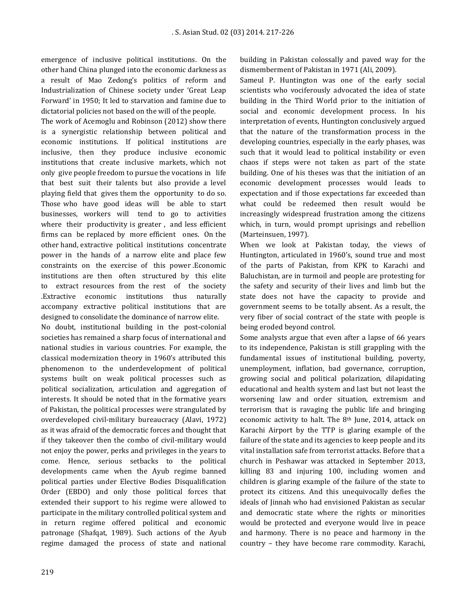emergence of inclusive political institutions. On the other hand China plunged into the economic darkness as a result of Mao Zedong's politics of reform and Industrialization of Chinese society under 'Great Leap Forward' in 1950; It led to starvation and famine due to dictatorial policies not based on the will of the people.

The work of Acemoglu and Robinson (2012) show there is a synergistic relationship between political and economic institutions. If political institutions are inclusive, then they produce inclusive economic institutions that create inclusive markets, which not only give people freedom to pursue the vocations in life that best suit their talents but also provide a level playing field that gives them the opportunity to do so. Those who have good ideas will be able to start businesses, workers will tend to go to activities where their productivity is greater, and less efficient firms can be replaced by more efficient ones. On the other hand, extractive political institutions concentrate power in the hands of a narrow elite and place few constraints on the exercise of this power .Economic institutions are then often structured by this elite to extract resources from the rest of the society .Extractive economic institutions thus naturally accompany extractive political institutions that are designed to consolidate the dominance of narrow elite.

No doubt, institutional building in the post-colonial societies has remained a sharp focus of international and national studies in various countries. For example, the classical modernization theory in 1960's attributed this phenomenon to the underdevelopment of political systems built on weak political processes such as political socialization, articulation and aggregation of interests. It should be noted that in the formative years of Pakistan, the political processes were strangulated by overdeveloped civil-military bureaucracy (Alavi, 1972) as it was afraid of the democratic forces and thought that if they takeover then the combo of civil-military would not enjoy the power, perks and privileges in the years to come. Hence, serious setbacks to the political developments came when the Ayub regime banned political parties under Elective Bodies Disqualification Order (EBDO) and only those political forces that extended their support to his regime were allowed to participate in the military controlled political system and in return regime offered political and economic patronage (Shafqat, 1989). Such actions of the Ayub regime damaged the process of state and national building in Pakistan colossally and paved way for the dismemberment of Pakistan in 1971 (Ali, 2009).

Sameul P. Huntington was one of the early social scientists who vociferously advocated the idea of state building in the Third World prior to the initiation of social and economic development process. In his interpretation of events, Huntington conclusively argued that the nature of the transformation process in the developing countries, especially in the early phases, was such that it would lead to political instability or even chaos if steps were not taken as part of the state building. One of his theses was that the initiation of an economic development processes would leads to expectation and if those expectations far exceeded than what could be redeemed then result would be increasingly widespread frustration among the citizens which, in turn, would prompt uprisings and rebellion (Marteinsuen, 1997).

When we look at Pakistan today, the views of Huntington, articulated in 1960's, sound true and most of the parts of Pakistan, from KPK to Karachi and Baluchistan, are in turmoil and people are protesting for the safety and security of their lives and limb but the state does not have the capacity to provide and government seems to be totally absent. As a result, the very fiber of social contract of the state with people is being eroded beyond control.

Some analysts argue that even after a lapse of 66 years to its independence, Pakistan is still grappling with the fundamental issues of institutional building, poverty, unemployment, inflation, bad governance, corruption, growing social and political polarization, dilapidating educational and health system and last but not least the worsening law and order situation, extremism and terrorism that is ravaging the public life and bringing economic activity to halt. The 8<sup>th</sup> June, 2014, attack on Karachi Airport by the TTP is glaring example of the failure of the state and its agencies to keep people and its vital installation safe from terrorist attacks. Before that a church in Peshawar was attacked in September 2013, killing 83 and injuring 100, including women and children is glaring example of the failure of the state to protect its citizens. And this unequivocally defies the ideals of Jinnah who had envisioned Pakistan as secular and democratic state where the rights or minorities would be protected and everyone would live in peace and harmony. There is no peace and harmony in the country – they have become rare commodity. Karachi,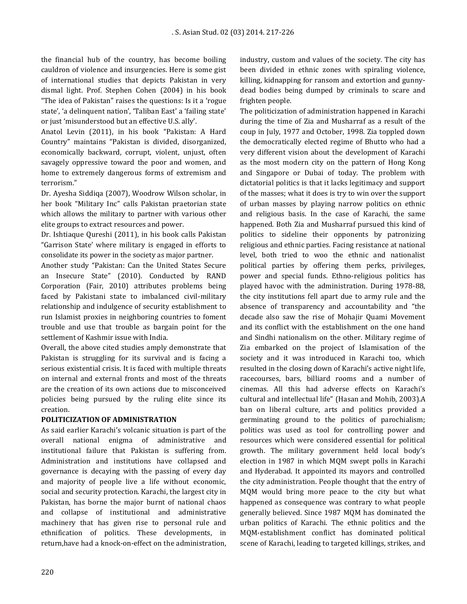the financial hub of the country, has become boiling cauldron of violence and insurgencies. Here is some gist of international studies that depicts Pakistan in very dismal light. Prof. Stephen Cohen (2004) in his book "The idea of Pakistan" raises the questions: Is it a 'rogue state', 'a delinquent nation', 'Taliban East' a 'failing state' or just 'misunderstood but an effective U.S. ally'.

Anatol Levin (2011), in his book "Pakistan: A Hard Country" maintains "Pakistan is divided, disorganized, economically backward, corrupt, violent, unjust, often savagely oppressive toward the poor and women, and home to extremely dangerous forms of extremism and terrorism."

Dr. Ayesha Siddiqa (2007), Woodrow Wilson scholar, in her book "Military Inc" calls Pakistan praetorian state which allows the military to partner with various other elite groups to extract resources and power.

Dr. Ishtiaque Qureshi (2011), in his book calls Pakistan "Garrison State' where military is engaged in efforts to consolidate its power in the society as major partner.

Another study "Pakistan: Can the United States Secure an Insecure State" (2010). Conducted by RAND Corporation (Fair, 2010) attributes problems being faced by Pakistani state to imbalanced civil-military relationship and indulgence of security establishment to run Islamist proxies in neighboring countries to foment trouble and use that trouble as bargain point for the settlement of Kashmir issue with India.

Overall, the above cited studies amply demonstrate that Pakistan is struggling for its survival and is facing a serious existential crisis. It is faced with multiple threats on internal and external fronts and most of the threats are the creation of its own actions due to misconceived policies being pursued by the ruling elite since its creation.

### **POLITICIZATION OF ADMINISTRATION**

As said earlier Karachi's volcanic situation is part of the overall national enigma of administrative and institutional failure that Pakistan is suffering from. Administration and institutions have collapsed and governance is decaying with the passing of every day and majority of people live a life without economic, social and security protection. Karachi, the largest city in Pakistan, has borne the major burnt of national chaos and collapse of institutional and administrative machinery that has given rise to personal rule and ethnification of politics. These developments, in return,have had a knock-on-effect on the administration, industry, custom and values of the society. The city has been divided in ethnic zones with spiraling violence, killing, kidnapping for ransom and extortion and gunnydead bodies being dumped by criminals to scare and frighten people.

The politicization of administration happened in Karachi during the time of Zia and Musharraf as a result of the coup in July, 1977 and October, 1998. Zia toppled down the democratically elected regime of Bhutto who had a very different vision about the development of Karachi as the most modern city on the pattern of Hong Kong and Singapore or Dubai of today. The problem with dictatorial politics is that it lacks legitimacy and support of the masses; what it does is try to win over the support of urban masses by playing narrow politics on ethnic and religious basis. In the case of Karachi, the same happened. Both Zia and Musharraf pursued this kind of politics to sideline their opponents by patronizing religious and ethnic parties. Facing resistance at national level, both tried to woo the ethnic and nationalist political parties by offering them perks, privileges, power and special funds. Ethno-religious politics has played havoc with the administration. During 1978-88, the city institutions fell apart due to army rule and the absence of transparency and accountability and "the decade also saw the rise of Mohajir Quami Movement and its conflict with the establishment on the one hand and Sindhi nationalism on the other. Military regime of Zia embarked on the project of Islamisation of the society and it was introduced in Karachi too, which resulted in the closing down of Karachi's active night life, racecourses, bars, billiard rooms and a number of cinemas. All this had adverse effects on Karachi's cultural and intellectual life" (Hasan and Mohib, 2003).A ban on liberal culture, arts and politics provided a germinating ground to the politics of parochialism; politics was used as tool for controlling power and resources which were considered essential for political growth. The military government held local body's election in 1987 in which MQM swept polls in Karachi and Hyderabad. It appointed its mayors and controlled the city administration. People thought that the entry of MQM would bring more peace to the city but what happened as consequence was contrary to what people generally believed. Since 1987 MQM has dominated the urban politics of Karachi. The ethnic politics and the MQM-establishment conflict has dominated political scene of Karachi, leading to targeted killings, strikes, and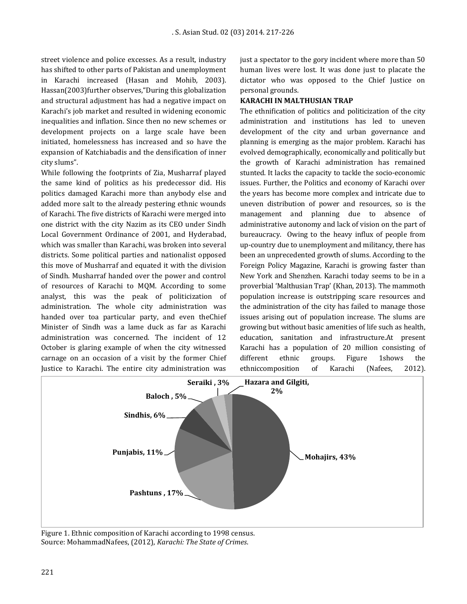street violence and police excesses. As a result, industry has shifted to other parts of Pakistan and unemployment in Karachi increased (Hasan and Mohib, 2003). Hassan(2003)further observes,"During this globalization and structural adjustment has had a negative impact on Karachi's job market and resulted in widening economic inequalities and inflation. Since then no new schemes or development projects on a large scale have been initiated, homelessness has increased and so have the expansion of Katchiabadis and the densification of inner city slums".

While following the footprints of Zia, Musharraf played the same kind of politics as his predecessor did. His politics damaged Karachi more than anybody else and added more salt to the already pestering ethnic wounds of Karachi. The five districts of Karachi were merged into one district with the city Nazim as its CEO under Sindh Local Government Ordinance of 2001, and Hyderabad, which was smaller than Karachi, was broken into several districts. Some political parties and nationalist opposed this move of Musharraf and equated it with the division of Sindh. Musharraf handed over the power and control of resources of Karachi to MQM. According to some analyst, this was the peak of politicization of administration. The whole city administration was handed over toa particular party, and even theChief Minister of Sindh was a lame duck as far as Karachi administration was concerned. The incident of 12 October is glaring example of when the city witnessed carnage on an occasion of a visit by the former Chief Justice to Karachi. The entire city administration was

just a spectator to the gory incident where more than 50 human lives were lost. It was done just to placate the dictator who was opposed to the Chief Justice on personal grounds.

### **KARACHI IN MALTHUSIAN TRAP**

The ethnification of politics and politicization of the city administration and institutions has led to uneven development of the city and urban governance and planning is emerging as the major problem. Karachi has evolved demographically, economically and politically but the growth of Karachi administration has remained stunted. It lacks the capacity to tackle the socio-economic issues. Further, the Politics and economy of Karachi over the years has become more complex and intricate due to uneven distribution of power and resources, so is the management and planning due to absence of administrative autonomy and lack of vision on the part of bureaucracy. Owing to the heavy influx of people from up-country due to unemployment and militancy, there has been an unprecedented growth of slums. According to the Foreign Policy Magazine, Karachi is growing faster than New York and Shenzhen. Karachi today seems to be in a proverbial 'Malthusian Trap' (Khan, 2013). The mammoth population increase is outstripping scare resources and the administration of the city has failed to manage those issues arising out of population increase. The slums are growing but without basic amenities of life such as health, education, sanitation and infrastructure.At present Karachi has a population of 20 million consisting of different ethnic groups. Figure 1shows the ethniccomposition of Karachi (Nafees, 2012).



Figure 1. Ethnic composition of Karachi according to 1998 census. Source: MohammadNafees, (2012), *Karachi: The State of Crimes*.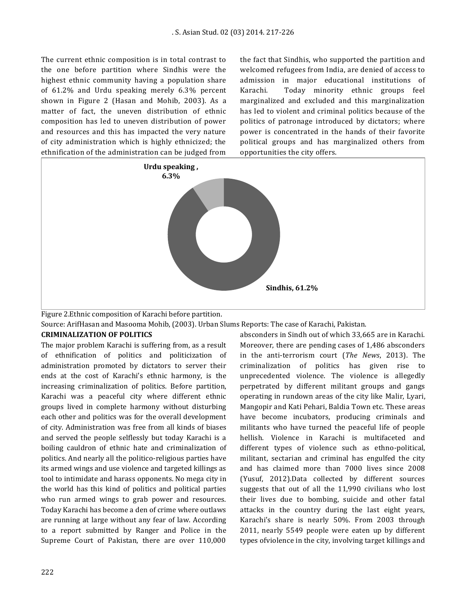The current ethnic composition is in total contrast to the one before partition where Sindhis were the highest ethnic community having a population share of 61.2% and Urdu speaking merely 6.3% percent shown in Figure 2 (Hasan and Mohib, 2003). As a matter of fact, the uneven distribution of ethnic composition has led to uneven distribution of power and resources and this has impacted the very nature of city administration which is highly ethnicized; the ethnification of the administration can be judged from the fact that Sindhis, who supported the partition and welcomed refugees from India, are denied of access to admission in major educational institutions of Karachi. Today minority ethnic groups feel marginalized and excluded and this marginalization has led to violent and criminal politics because of the politics of patronage introduced by dictators; where power is concentrated in the hands of their favorite political groups and has marginalized others from opportunities the city offers.



Figure 2.Ethnic composition of Karachi before partition.

Source: ArifHasan and Masooma Mohib, (2003). Urban Slums Reports: The case of Karachi, Pakistan.

#### **CRIMINALIZATION OF POLITICS**

The major problem Karachi is suffering from, as a result of ethnification of politics and politicization of administration promoted by dictators to server their ends at the cost of Karachi's ethnic harmony, is the increasing criminalization of politics. Before partition, Karachi was a peaceful city where different ethnic groups lived in complete harmony without disturbing each other and politics was for the overall development of city. Administration was free from all kinds of biases and served the people selflessly but today Karachi is a boiling cauldron of ethnic hate and criminalization of politics. And nearly all the politico-religious parties have its armed wings and use violence and targeted killings as tool to intimidate and harass opponents. No mega city in the world has this kind of politics and political parties who run armed wings to grab power and resources. Today Karachi has become a den of crime where outlaws are running at large without any fear of law. According to a report submitted by Ranger and Police in the Supreme Court of Pakistan, there are over 110,000

absconders in Sindh out of which 33,665 are in Karachi. Moreover, there are pending cases of 1,486 absconders in the anti-terrorism court (*The News*, 2013). The criminalization of politics has given rise to unprecedented violence. The violence is allegedly perpetrated by different militant groups and gangs operating in rundown areas of the city like Malir, Lyari, Mangopir and Kati Pehari, Baldia Town etc. These areas have become incubators, producing criminals and militants who have turned the peaceful life of people hellish. Violence in Karachi is multifaceted and different types of violence such as ethno-political, militant, sectarian and criminal has engulfed the city and has claimed more than 7000 lives since 2008 (Yusuf, 2012).Data collected by different sources suggests that out of all the 11,990 civilians who lost their lives due to bombing, suicide and other fatal attacks in the country during the last eight years, Karachi's share is nearly 50%. From 2003 through 2011, nearly 5549 people were eaten up by different types ofviolence in the city, involving target killings and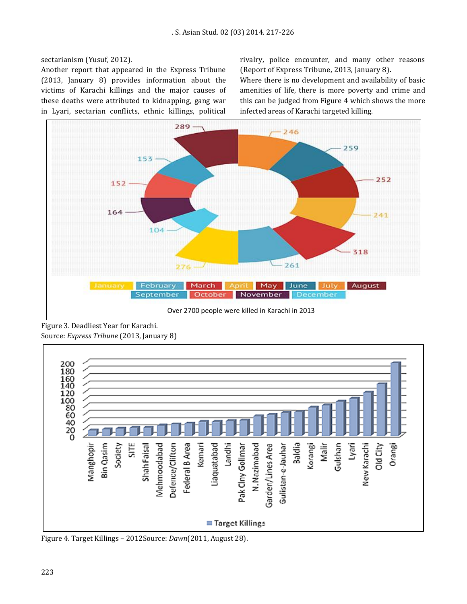sectarianism (Yusuf, 2012).

Another report that appeared in the Express Tribune (2013, January 8) provides information about the victims of Karachi killings and the major causes of these deaths were attributed to kidnapping, gang war in Lyari, sectarian conflicts, ethnic killings, political rivalry, police encounter, and many other reasons (Report of Express Tribune, 2013, January 8).

Where there is no development and availability of basic amenities of life, there is more poverty and crime and this can be judged from Figure 4 which shows the more infected areas of Karachi targeted killing.



Figure 3. Deadliest Year for Karachi. Source: *Express Tribune* (2013, January 8)



Figure 4. Target Killings – 2012Source: *Dawn*(2011, August 28).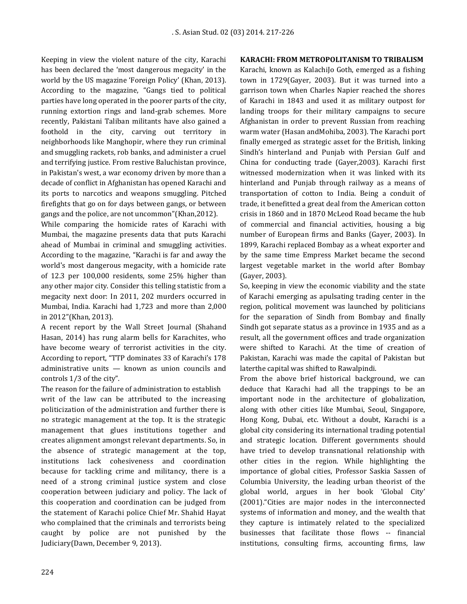Keeping in view the violent nature of the city, Karachi has been declared the 'most dangerous megacity' in the world by the US magazine 'Foreign Policy' (Khan, 2013). According to the magazine, "Gangs tied to political parties have long operated in the poorer parts of the city, running extortion rings and land-grab schemes. More recently, Pakistani Taliban militants have also gained a foothold in the city, carving out territory in neighborhoods like Manghopir, where they run criminal and smuggling rackets, rob banks, and administer a cruel and terrifying justice. From restive Baluchistan province, in Pakistan's west, a war economy driven by more than a decade of conflict in Afghanistan has opened Karachi and its ports to narcotics and weapons smuggling. Pitched firefights that go on for days between gangs, or between gangs and the police, are not uncommon"(Khan,2012).

While comparing the homicide rates of Karachi with Mumbai, the magazine presents data that puts Karachi ahead of Mumbai in criminal and smuggling activities. According to the magazine, "Karachi is far and away the world's most dangerous megacity, with a homicide rate of 12.3 per 100,000 residents, some 25% higher than any other major city. Consider this telling statistic from a megacity next door: In 2011, 202 murders occurred in Mumbai, India. Karachi had 1,723 and more than 2,000 in 2012"(Khan, 2013).

A recent report by the Wall Street Journal (Shahand Hasan, 2014) has rung alarm bells for Karachites, who have become weary of terrorist activities in the city. According to report, "TTP dominates 33 of Karachi's 178 administrative units — known as union councils and controls 1/3 of the city".

The reason for the failure of administration to establish writ of the law can be attributed to the increasing politicization of the administration and further there is no strategic management at the top. It is the strategic management that glues institutions together and creates alignment amongst relevant departments. So, in the absence of strategic management at the top, institutions lack cohesiveness and coordination because for tackling crime and militancy, there is a need of a strong criminal justice system and close cooperation between judiciary and policy. The lack of this cooperation and coordination can be judged from the statement of Karachi police Chief Mr. Shahid Hayat who complained that the criminals and terrorists being caught by police are not punished by the Judiciary(Dawn, December 9, 2013).

#### **KARACHI: FROM METROPOLITANISM TO TRIBALISM**

Karachi, known as KalachiJo Goth, emerged as a fishing town in 1729(Gayer, 2003). But it was turned into a garrison town when Charles Napier reached the shores of Karachi in 1843 and used it as military outpost for landing troops for their military campaigns to secure Afghanistan in order to prevent Russian from reaching warm water (Hasan andMohiba, 2003). The Karachi port finally emerged as strategic asset for the British, linking Sindh's hinterland and Punjab with Persian Gulf and China for conducting trade (Gayer,2003). Karachi first witnessed modernization when it was linked with its hinterland and Punjab through railway as a means of transportation of cotton to India. Being a conduit of trade, it benefitted a great deal from the American cotton crisis in 1860 and in 1870 McLeod Road became the hub of commercial and financial activities, housing a big number of European firms and Banks (Gayer, 2003). In 1899, Karachi replaced Bombay as a wheat exporter and by the same time Empress Market became the second largest vegetable market in the world after Bombay (Gayer, 2003).

So, keeping in view the economic viability and the state of Karachi emerging as apulsating trading center in the region, political movement was launched by politicians for the separation of Sindh from Bombay and finally Sindh got separate status as a province in 1935 and as a result, all the government offices and trade organization were shifted to Karachi. At the time of creation of Pakistan, Karachi was made the capital of Pakistan but laterthe capital was shifted to Rawalpindi.

From the above brief historical background, we can deduce that Karachi had all the trappings to be an important node in the architecture of globalization, along with other cities like Mumbai, Seoul, Singapore, Hong Kong, Dubai, etc. Without a doubt, Karachi is a global city considering its international trading potential and strategic location. Different governments should have tried to develop transnational relationship with other cities in the region. While highlighting the importance of global cities, Professor Saskia Sassen of Columbia University, the leading urban theorist of the global world, argues in her book 'Global City' (2001)."Cities are major nodes in the interconnected systems of information and money, and the wealth that they capture is intimately related to the specialized businesses that facilitate those flows -- financial institutions, consulting firms, accounting firms, law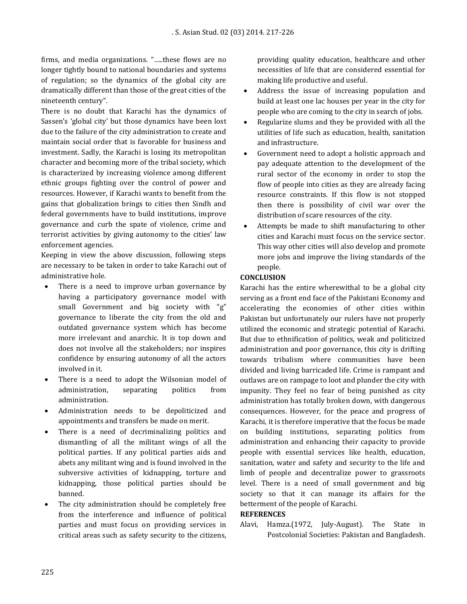firms, and media organizations. "…..these flows are no longer tightly bound to national boundaries and systems of regulation; so the dynamics of the global city are dramatically different than those of the great cities of the nineteenth century".

There is no doubt that Karachi has the dynamics of Sassen's 'global city' but those dynamics have been lost due to the failure of the city administration to create and maintain social order that is favorable for business and investment. Sadly, the Karachi is losing its metropolitan character and becoming more of the tribal society, which is characterized by increasing violence among different ethnic groups fighting over the control of power and resources. However, if Karachi wants to benefit from the gains that globalization brings to cities then Sindh and federal governments have to build institutions, improve governance and curb the spate of violence, crime and terrorist activities by giving autonomy to the cities' law enforcement agencies.

Keeping in view the above discussion, following steps are necessary to be taken in order to take Karachi out of administrative hole.

- There is a need to improve urban governance by having a participatory governance model with small Government and big society with "g" governance to liberate the city from the old and outdated governance system which has become more irrelevant and anarchic. It is top down and does not involve all the stakeholders; nor inspires confidence by ensuring autonomy of all the actors involved in it.
- There is a need to adopt the Wilsonian model of administration, separating politics from administration.
- Administration needs to be depoliticized and appointments and transfers be made on merit.
- There is a need of decriminalizing politics and dismantling of all the militant wings of all the political parties. If any political parties aids and abets any militant wing and is found involved in the subversive activities of kidnapping, torture and kidnapping, those political parties should be banned.
- The city administration should be completely free from the interference and influence of political parties and must focus on providing services in critical areas such as safety security to the citizens,

providing quality education, healthcare and other necessities of life that are considered essential for making life productive and useful.

- Address the issue of increasing population and build at least one lac houses per year in the city for people who are coming to the city in search of jobs.
- Regularize slums and they be provided with all the utilities of life such as education, health, sanitation and infrastructure.
- Government need to adopt a holistic approach and pay adequate attention to the development of the rural sector of the economy in order to stop the flow of people into cities as they are already facing resource constraints. If this flow is not stopped then there is possibility of civil war over the distribution of scare resources of the city.
- Attempts be made to shift manufacturing to other cities and Karachi must focus on the service sector. This way other cities will also develop and promote more jobs and improve the living standards of the people.

## **CONCLUSION**

Karachi has the entire wherewithal to be a global city serving as a front end face of the Pakistani Economy and accelerating the economies of other cities within Pakistan but unfortunately our rulers have not properly utilized the economic and strategic potential of Karachi. But due to ethnification of politics, weak and politicized administration and poor governance, this city is drifting towards tribalism where communities have been divided and living barricaded life. Crime is rampant and outlaws are on rampage to loot and plunder the city with impunity. They feel no fear of being punished as city administration has totally broken down, with dangerous consequences. However, for the peace and progress of Karachi, it is therefore imperative that the focus be made on building institutions, separating politics from administration and enhancing their capacity to provide people with essential services like health, education, sanitation, water and safety and security to the life and limb of people and decentralize power to grassroots level. There is a need of small government and big society so that it can manage its affairs for the betterment of the people of Karachi.

### **REFERENCES**

Alavi, Hamza.(1972, July-August). The State in Postcolonial Societies: Pakistan and Bangladesh.